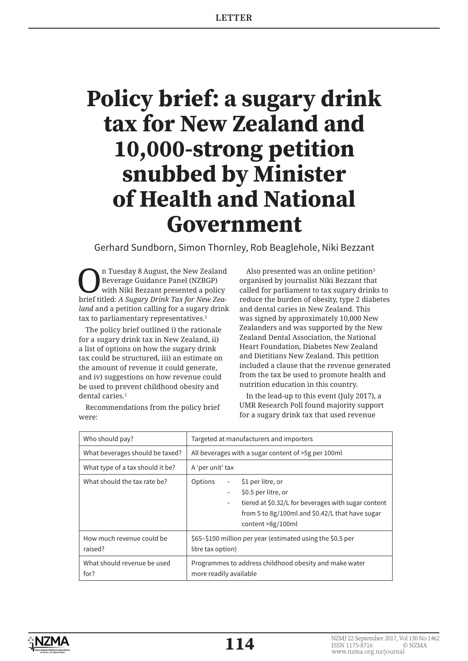# **Policy brief: a sugary drink tax for New Zealand and 10,000-strong petition snubbed by Minister of Health and National Government**

Gerhard Sundborn, Simon Thornley, Rob Beaglehole, Niki Bezzant

n Tuesday 8 August, the New Zealand Beverage Guidance Panel (NZBGP) with Niki Bezzant presented a policy brief titled: *A Sugary Drink Tax for New Zealand* and a petition calling for a sugary drink tax to parliamentary representatives.<sup>1</sup>

The policy brief outlined i) the rationale for a sugary drink tax in New Zealand, ii) a list of options on how the sugary drink tax could be structured, iii) an estimate on the amount of revenue it could generate, and iv) suggestions on how revenue could be used to prevent childhood obesity and dental caries.<sup>2</sup>

Recommendations from the policy brief

were:

Also presented was an online petition<sup>3</sup> organised by journalist Niki Bezzant that called for parliament to tax sugary drinks to reduce the burden of obesity, type 2 diabetes and dental caries in New Zealand. This was signed by approximately 10,000 New Zealanders and was supported by the New Zealand Dental Association, the National Heart Foundation, Diabetes New Zealand and Dietitians New Zealand. This petition included a clause that the revenue generated from the tax be used to promote health and nutrition education in this country.

In the lead-up to this event (July 2017), a UMR Research Poll found majority support for a sugary drink tax that used revenue

| Who should pay?                      | Targeted at manufacturers and importers                                                                                                                                                                                       |
|--------------------------------------|-------------------------------------------------------------------------------------------------------------------------------------------------------------------------------------------------------------------------------|
| What beverages should be taxed?      | All beverages with a sugar content of >5g per 100ml                                                                                                                                                                           |
| What type of a tax should it be?     | A 'per unit' tax                                                                                                                                                                                                              |
| What should the tax rate be?         | Options<br>\$1 per litre, or<br>$\overline{\phantom{a}}$<br>\$0.5 per litre, or<br>-<br>tiered at \$0.32/L for beverages with sugar content<br>-<br>from 5 to $8g/100ml$ and $$0.42/L$ that have sugar<br>content $>8g/100ml$ |
| How much revenue could be<br>raised? | \$65-\$100 million per year (estimated using the \$0.5 per<br>litre tax option)                                                                                                                                               |
| What should revenue be used<br>for?  | Programmes to address childhood obesity and make water<br>more readily available                                                                                                                                              |

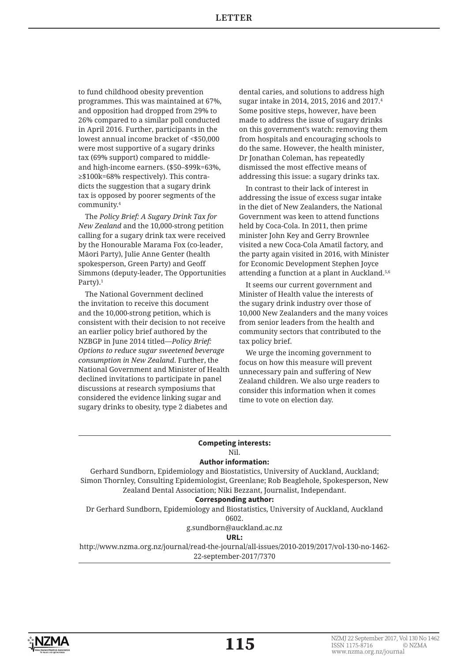to fund childhood obesity prevention programmes. This was maintained at 67%, and opposition had dropped from 29% to 26% compared to a similar poll conducted in April 2016. Further, participants in the lowest annual income bracket of <\$50,000 were most supportive of a sugary drinks tax (69% support) compared to middleand high-income earners. (\$50–\$99k=63%, ≥\$100k=68% respectively). This contradicts the suggestion that a sugary drink tax is opposed by poorer segments of the community.4

The *Policy Brief: A Sugary Drink Tax for New Zealand* and the 10,000-strong petition calling for a sugary drink tax were received by the Honourable Marama Fox (co-leader, Māori Party), Julie Anne Genter (health spokesperson, Green Party) and Geoff Simmons (deputy-leader, The Opportunities Party).1

The National Government declined the invitation to receive this document and the 10,000-strong petition, which is consistent with their decision to not receive an earlier policy brief authored by the NZBGP in June 2014 titled—*Policy Brief: Options to reduce sugar sweetened beverage consumption in New Zealand*. Further, the National Government and Minister of Health declined invitations to participate in panel discussions at research symposiums that considered the evidence linking sugar and sugary drinks to obesity, type 2 diabetes and

dental caries, and solutions to address high sugar intake in 2014, 2015, 2016 and 2017.4 Some positive steps, however, have been made to address the issue of sugary drinks on this government's watch: removing them from hospitals and encouraging schools to do the same. However, the health minister, Dr Jonathan Coleman, has repeatedly dismissed the most effective means of addressing this issue: a sugary drinks tax.

In contrast to their lack of interest in addressing the issue of excess sugar intake in the diet of New Zealanders, the National Government was keen to attend functions held by Coca-Cola. In 2011, then prime minister John Key and Gerry Brownlee visited a new Coca-Cola Amatil factory, and the party again visited in 2016, with Minister for Economic Development Stephen Joyce attending a function at a plant in Auckland.5,6

It seems our current government and Minister of Health value the interests of the sugary drink industry over those of 10,000 New Zealanders and the many voices from senior leaders from the health and community sectors that contributed to the tax policy brief.

We urge the incoming government to focus on how this measure will prevent unnecessary pain and suffering of New Zealand children. We also urge readers to consider this information when it comes time to vote on election day.

## **Competing interests:**

## Nil.

# **Author information:**

Gerhard Sundborn, Epidemiology and Biostatistics, University of Auckland, Auckland; Simon Thornley, Consulting Epidemiologist, Greenlane; Rob Beaglehole, Spokesperson, New Zealand Dental Association; Niki Bezzant, Journalist, Independant.

### **Corresponding author:**

Dr Gerhard Sundborn, Epidemiology and Biostatistics, University of Auckland, Auckland 0602.

g.sundborn@auckland.ac.nz

**URL:**

http://www.nzma.org.nz/journal/read-the-journal/all-issues/2010-2019/2017/vol-130-no-1462- 22-september-2017/7370